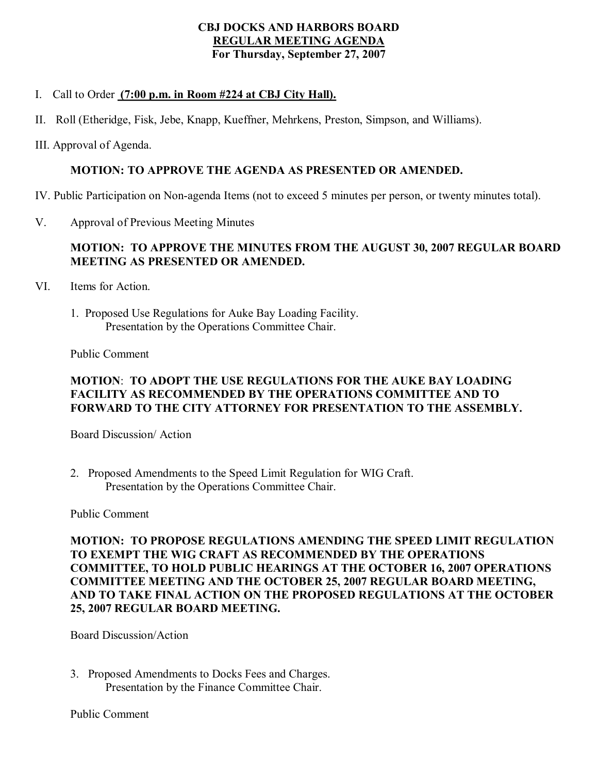#### **CBJ DOCKS AND HARBORS BOARD REGULAR MEETING AGENDA For Thursday, September 27, 2007**

## I. Call to Order **(7:00 p.m. in Room #224 at CBJ City Hall).**

- II. Roll (Etheridge, Fisk, Jebe, Knapp, Kueffner, Mehrkens, Preston, Simpson, and Williams).
- III. Approval of Agenda.

#### **MOTION: TO APPROVE THE AGENDA AS PRESENTED OR AMENDED.**

IV. Public Participation on Nonagenda Items (not to exceed 5 minutes per person, or twenty minutes total).

V. Approval of Previous Meeting Minutes

## **MOTION: TO APPROVE THE MINUTES FROM THE AUGUST 30, 2007 REGULAR BOARD MEETING AS PRESENTED OR AMENDED.**

- VI. Items for Action.
	- 1. Proposed Use Regulations for Auke Bay Loading Facility. Presentation by the Operations Committee Chair.

Public Comment

## **MOTION**: **TO ADOPT THE USE REGULATIONS FOR THE AUKE BAY LOADING FACILITY AS RECOMMENDED BY THE OPERATIONS COMMITTEE AND TO FORWARD TO THE CITY ATTORNEY FOR PRESENTATION TO THE ASSEMBLY.**

Board Discussion/ Action

2. Proposed Amendments to the Speed Limit Regulation for WIG Craft. Presentation by the Operations Committee Chair.

Public Comment

**MOTION: TO PROPOSE REGULATIONS AMENDING THE SPEED LIMIT REGULATION TO EXEMPT THE WIG CRAFT AS RECOMMENDED BY THE OPERATIONS COMMITTEE, TO HOLD PUBLIC HEARINGS AT THE OCTOBER 16, 2007 OPERATIONS COMMITTEE MEETING AND THE OCTOBER 25, 2007 REGULAR BOARD MEETING, AND TO TAKE FINAL ACTION ON THE PROPOSED REGULATIONS AT THE OCTOBER 25, 2007 REGULAR BOARD MEETING.**

Board Discussion/Action

3. Proposed Amendments to Docks Fees and Charges. Presentation by the Finance Committee Chair.

Public Comment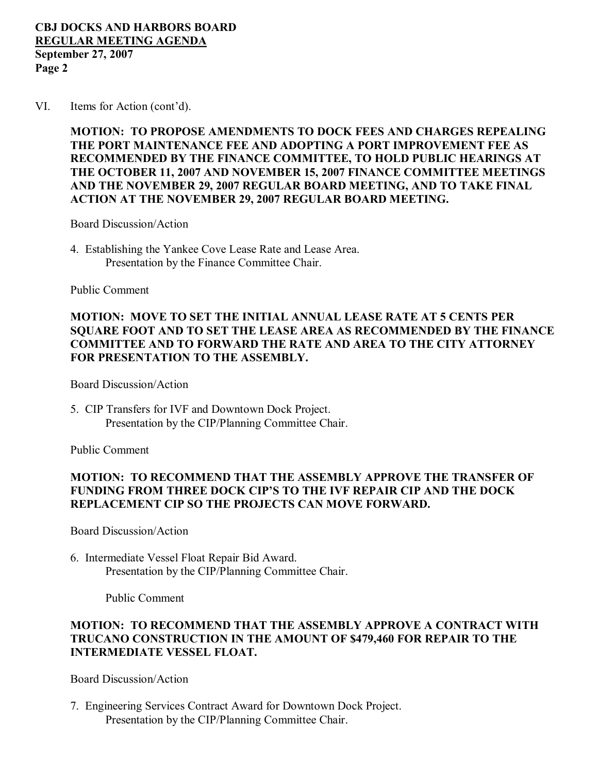#### **CBJ DOCKS AND HARBORS BOARD REGULAR MEETING AGENDA September 27, 2007 Page 2**

VI. Items for Action (cont'd).

**MOTION: TO PROPOSE AMENDMENTS TO DOCK FEES AND CHARGES REPEALING THE PORT MAINTENANCE FEE AND ADOPTING A PORT IMPROVEMENT FEE AS RECOMMENDED BY THE FINANCE COMMITTEE, TO HOLD PUBLIC HEARINGS AT THE OCTOBER 11, 2007 AND NOVEMBER 15, 2007 FINANCE COMMITTEE MEETINGS AND THE NOVEMBER 29, 2007 REGULAR BOARD MEETING, AND TO TAKE FINAL ACTION AT THE NOVEMBER 29, 2007 REGULAR BOARD MEETING.**

Board Discussion/Action

4. Establishing the Yankee Cove Lease Rate and Lease Area. Presentation by the Finance Committee Chair.

Public Comment

## **MOTION: MOVE TO SET THE INITIAL ANNUAL LEASE RATE AT 5 CENTS PER SQUARE FOOT AND TO SET THE LEASE AREA AS RECOMMENDED BY THE FINANCE COMMITTEE AND TO FORWARD THE RATE AND AREA TO THE CITY ATTORNEY FOR PRESENTATION TO THE ASSEMBLY.**

Board Discussion/Action

5. CIP Transfers for IVF and Downtown Dock Project. Presentation by the CIP/Planning Committee Chair.

Public Comment

## **MOTION: TO RECOMMEND THAT THE ASSEMBLY APPROVE THE TRANSFER OF FUNDING FROM THREE DOCK CIP'S TO THE IVF REPAIR CIP AND THE DOCK REPLACEMENT CIP SO THE PROJECTS CAN MOVE FORWARD.**

Board Discussion/Action

6. Intermediate Vessel Float Repair Bid Award. Presentation by the CIP/Planning Committee Chair.

Public Comment

#### **MOTION: TO RECOMMEND THAT THE ASSEMBLY APPROVE A CONTRACT WITH TRUCANO CONSTRUCTION IN THE AMOUNT OF \$479,460 FOR REPAIR TO THE INTERMEDIATE VESSEL FLOAT.**

Board Discussion/Action

7. Engineering Services Contract Award for Downtown Dock Project. Presentation by the CIP/Planning Committee Chair.